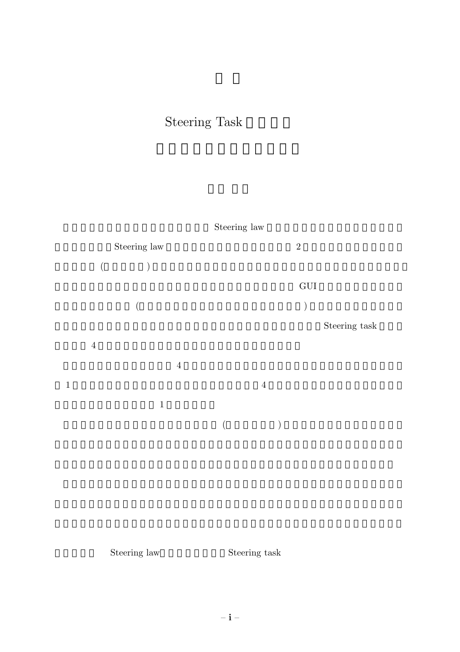## Steering Task